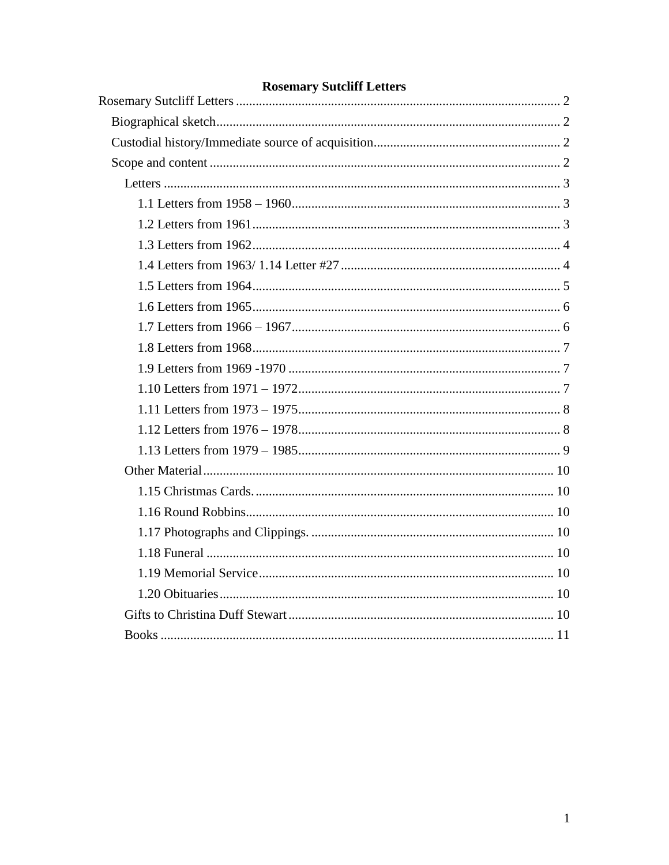# **Rosemary Sutcliff Letters**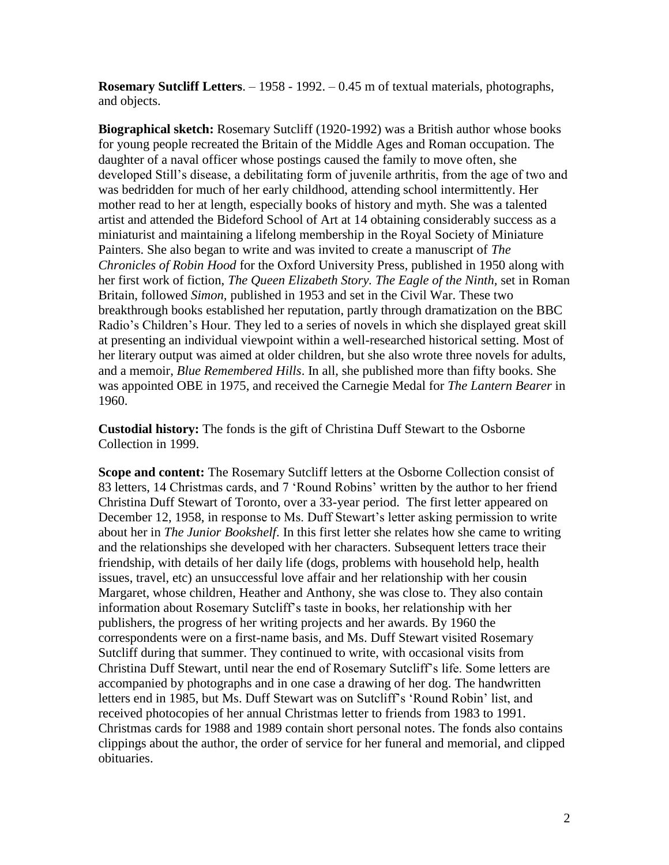<span id="page-1-0"></span>**Rosemary Sutcliff Letters**. – 1958 - 1992. – 0.45 m of textual materials, photographs, and objects.

<span id="page-1-1"></span>**Biographical sketch:** Rosemary Sutcliff (1920-1992) was a British author whose books for young people recreated the Britain of the Middle Ages and Roman occupation. The daughter of a naval officer whose postings caused the family to move often, she developed Still's disease, a debilitating form of juvenile arthritis, from the age of two and was bedridden for much of her early childhood, attending school intermittently. Her mother read to her at length, especially books of history and myth. She was a talented artist and attended the Bideford School of Art at 14 obtaining considerably success as a miniaturist and maintaining a lifelong membership in the Royal Society of Miniature Painters. She also began to write and was invited to create a manuscript of *The Chronicles of Robin Hood* for the Oxford University Press, published in 1950 along with her first work of fiction, *The Queen Elizabeth Story. The Eagle of the Ninth,* set in Roman Britain, followed *Simon,* published in 1953 and set in the Civil War. These two breakthrough books established her reputation, partly through dramatization on the BBC Radio's Children's Hour. They led to a series of novels in which she displayed great skill at presenting an individual viewpoint within a well-researched historical setting. Most of her literary output was aimed at older children, but she also wrote three novels for adults, and a memoir, *Blue Remembered Hills*. In all, she published more than fifty books. She was appointed OBE in 1975, and received the Carnegie Medal for *The Lantern Bearer* in 1960.

<span id="page-1-2"></span>**Custodial history:** The fonds is the gift of Christina Duff Stewart to the Osborne Collection in 1999.

<span id="page-1-3"></span>**Scope and content:** The Rosemary Sutcliff letters at the Osborne Collection consist of 83 letters, 14 Christmas cards, and 7 'Round Robins' written by the author to her friend Christina Duff Stewart of Toronto, over a 33-year period. The first letter appeared on December 12, 1958, in response to Ms. Duff Stewart's letter asking permission to write about her in *The Junior Bookshelf*. In this first letter she relates how she came to writing and the relationships she developed with her characters. Subsequent letters trace their friendship, with details of her daily life (dogs, problems with household help, health issues, travel, etc) an unsuccessful love affair and her relationship with her cousin Margaret, whose children, Heather and Anthony, she was close to. They also contain information about Rosemary Sutcliff's taste in books, her relationship with her publishers, the progress of her writing projects and her awards. By 1960 the correspondents were on a first-name basis, and Ms. Duff Stewart visited Rosemary Sutcliff during that summer. They continued to write, with occasional visits from Christina Duff Stewart, until near the end of Rosemary Sutcliff's life. Some letters are accompanied by photographs and in one case a drawing of her dog. The handwritten letters end in 1985, but Ms. Duff Stewart was on Sutcliff's 'Round Robin' list, and received photocopies of her annual Christmas letter to friends from 1983 to 1991. Christmas cards for 1988 and 1989 contain short personal notes. The fonds also contains clippings about the author, the order of service for her funeral and memorial, and clipped obituaries.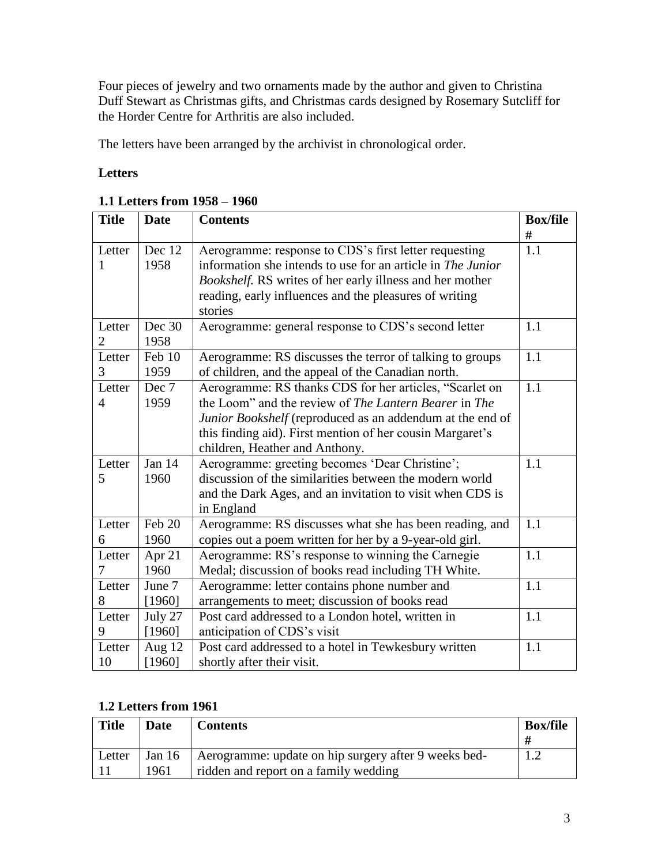Four pieces of jewelry and two ornaments made by the author and given to Christina Duff Stewart as Christmas gifts, and Christmas cards designed by Rosemary Sutcliff for the Horder Centre for Arthritis are also included.

The letters have been arranged by the archivist in chronological order.

### <span id="page-2-0"></span>**Letters**

| <b>Title</b>   | <b>Date</b> | <b>Contents</b>                                             | <b>Box/file</b> |
|----------------|-------------|-------------------------------------------------------------|-----------------|
|                |             |                                                             | #               |
| Letter         | Dec 12      | Aerogramme: response to CDS's first letter requesting       | 1.1             |
| 1              | 1958        | information she intends to use for an article in The Junior |                 |
|                |             | Bookshelf. RS writes of her early illness and her mother    |                 |
|                |             | reading, early influences and the pleasures of writing      |                 |
|                |             | stories                                                     |                 |
| Letter         | Dec 30      | Aerogramme: general response to CDS's second letter         | 1.1             |
| $\overline{2}$ | 1958        |                                                             |                 |
| Letter         | Feb 10      | Aerogramme: RS discusses the terror of talking to groups    | 1.1             |
| 3              | 1959        | of children, and the appeal of the Canadian north.          |                 |
| Letter         | Dec 7       | Aerogramme: RS thanks CDS for her articles, "Scarlet on     | 1.1             |
| $\overline{4}$ | 1959        | the Loom" and the review of The Lantern Bearer in The       |                 |
|                |             | Junior Bookshelf (reproduced as an addendum at the end of   |                 |
|                |             | this finding aid). First mention of her cousin Margaret's   |                 |
|                |             | children, Heather and Anthony.                              |                 |
| Letter         | Jan 14      | Aerogramme: greeting becomes 'Dear Christine';              | 1.1             |
| 5              | 1960        | discussion of the similarities between the modern world     |                 |
|                |             | and the Dark Ages, and an invitation to visit when CDS is   |                 |
|                |             | in England                                                  |                 |
| Letter         | Feb 20      | Aerogramme: RS discusses what she has been reading, and     | 1.1             |
| 6              | 1960        | copies out a poem written for her by a 9-year-old girl.     |                 |
| Letter         | Apr 21      | Aerogramme: RS's response to winning the Carnegie           | 1.1             |
| 7              | 1960        | Medal; discussion of books read including TH White.         |                 |
| Letter         | June 7      | Aerogramme: letter contains phone number and                | 1.1             |
| 8              | [1960]      | arrangements to meet; discussion of books read              |                 |
| Letter         | July 27     | Post card addressed to a London hotel, written in           | 1.1             |
| 9              | [1960]      | anticipation of CDS's visit                                 |                 |
| Letter         | Aug $12$    | Post card addressed to a hotel in Tewkesbury written        | 1.1             |
| 10             | [1960]      | shortly after their visit.                                  |                 |

#### <span id="page-2-1"></span>**1.1 Letters from 1958 – 1960**

### <span id="page-2-2"></span>**1.2 Letters from 1961**

| <b>Title</b> | Date | <b>Contents</b>                                                                                        | <b>Box/file</b> |
|--------------|------|--------------------------------------------------------------------------------------------------------|-----------------|
| Letter       | 1961 | Jan 16   Aerogramme: update on hip surgery after 9 weeks bed-<br>ridden and report on a family wedding |                 |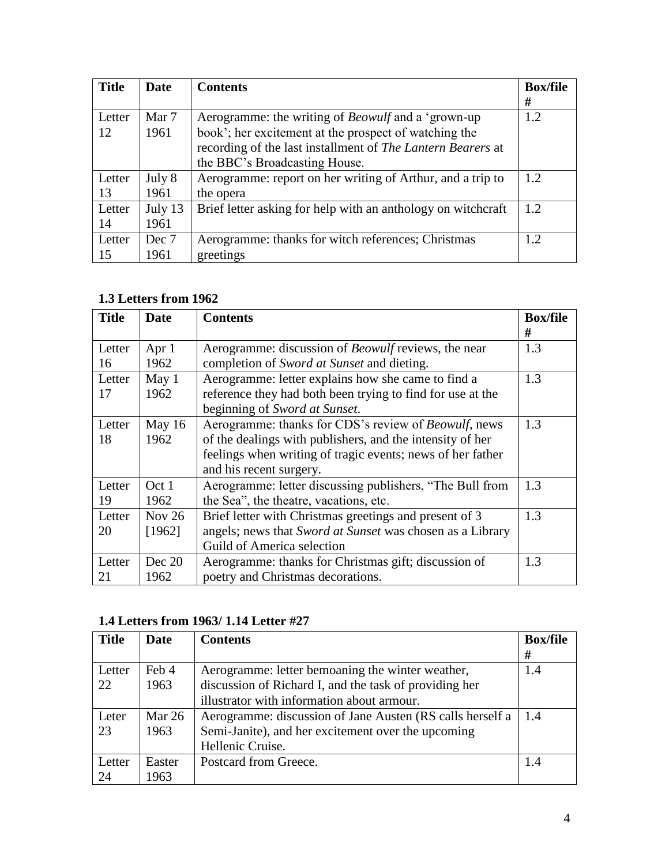| <b>Title</b> | Date    | <b>Contents</b>                                              | <b>Box/file</b> |
|--------------|---------|--------------------------------------------------------------|-----------------|
|              |         |                                                              | #               |
| Letter       | Mar 7   | Aerogramme: the writing of <i>Beowulf</i> and a 'grown-up    | 1.2             |
| 12           | 1961    | book'; her excitement at the prospect of watching the        |                 |
|              |         | recording of the last installment of The Lantern Bearers at  |                 |
|              |         | the BBC's Broadcasting House.                                |                 |
| Letter       | July 8  | Aerogramme: report on her writing of Arthur, and a trip to   | 1.2.            |
| 13           | 1961    | the opera                                                    |                 |
| Letter       | July 13 | Brief letter asking for help with an anthology on witchcraft | 1.2             |
| 14           | 1961    |                                                              |                 |
| Letter       | Dec 7   | Aerogramme: thanks for witch references; Christmas           | 1.2             |
| 15           | 1961    | greetings                                                    |                 |

### <span id="page-3-0"></span>**1.3 Letters from 1962**

| <b>Title</b> | <b>Date</b> | <b>Contents</b>                                              | <b>Box/file</b> |
|--------------|-------------|--------------------------------------------------------------|-----------------|
|              |             |                                                              | #               |
| Letter       | Apr $1$     | Aerogramme: discussion of <i>Beowulf</i> reviews, the near   | 1.3             |
| 16           | 1962        | completion of Sword at Sunset and dieting.                   |                 |
| Letter       | May 1       | Aerogramme: letter explains how she came to find a           | 1.3             |
| 17           | 1962        | reference they had both been trying to find for use at the   |                 |
|              |             | beginning of Sword at Sunset.                                |                 |
| Letter       | May 16      | Aerogramme: thanks for CDS's review of <i>Beowulf</i> , news | 1.3             |
| 18           | 1962        | of the dealings with publishers, and the intensity of her    |                 |
|              |             | feelings when writing of tragic events; news of her father   |                 |
|              |             | and his recent surgery.                                      |                 |
| Letter       | Oct 1       | Aerogramme: letter discussing publishers, "The Bull from     | 1.3             |
| 19           | 1962        | the Sea", the theatre, vacations, etc.                       |                 |
| Letter       | Nov $26$    | Brief letter with Christmas greetings and present of 3       | 1.3             |
| 20           | [1962]      | angels; news that Sword at Sunset was chosen as a Library    |                 |
|              |             | Guild of America selection                                   |                 |
| Letter       | Dec 20      | Aerogramme: thanks for Christmas gift; discussion of         | 1.3             |
| 21           | 1962        | poetry and Christmas decorations.                            |                 |

### <span id="page-3-1"></span>**1.4 Letters from 1963/ 1.14 Letter #27**

| <b>Title</b> | <b>Date</b> | <b>Contents</b>                                           | <b>Box/file</b> |
|--------------|-------------|-----------------------------------------------------------|-----------------|
|              |             |                                                           | #               |
| Letter       | Feb 4       | Aerogramme: letter bemoaning the winter weather,          | 1.4             |
| 22           | 1963        | discussion of Richard I, and the task of providing her    |                 |
|              |             | illustrator with information about armour.                |                 |
| Leter        | Mar $26$    | Aerogramme: discussion of Jane Austen (RS calls herself a | 1.4             |
| 23           | 1963        | Semi-Janite), and her excitement over the upcoming        |                 |
|              |             | Hellenic Cruise.                                          |                 |
| Letter       | Easter      | Postcard from Greece.                                     | 1.4             |
| 24           | 1963        |                                                           |                 |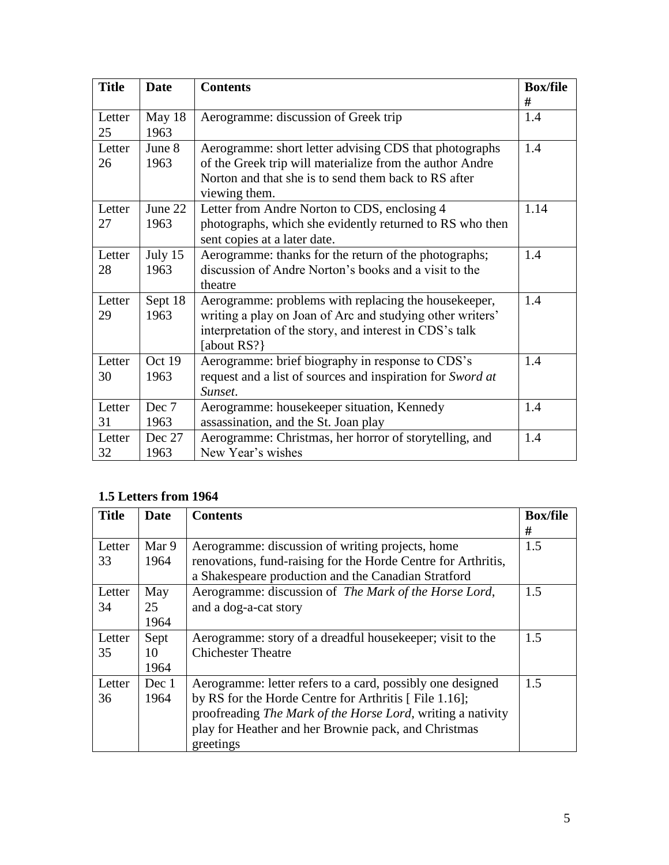| <b>Title</b> | <b>Date</b> | <b>Contents</b>                                            | <b>Box/file</b> |
|--------------|-------------|------------------------------------------------------------|-----------------|
|              |             |                                                            | #               |
| Letter       | May 18      | Aerogramme: discussion of Greek trip                       | 1.4             |
| 25           | 1963        |                                                            |                 |
| Letter       | June 8      | Aerogramme: short letter advising CDS that photographs     | 1.4             |
| 26           | 1963        | of the Greek trip will materialize from the author Andre   |                 |
|              |             | Norton and that she is to send them back to RS after       |                 |
|              |             | viewing them.                                              |                 |
| Letter       | June 22     | Letter from Andre Norton to CDS, enclosing 4               | 1.14            |
| 27           | 1963        | photographs, which she evidently returned to RS who then   |                 |
|              |             | sent copies at a later date.                               |                 |
| Letter       | July 15     | Aerogramme: thanks for the return of the photographs;      | 1.4             |
| 28           | 1963        | discussion of Andre Norton's books and a visit to the      |                 |
|              |             | theatre                                                    |                 |
| Letter       | Sept 18     | Aerogramme: problems with replacing the housekeeper,       | 1.4             |
| 29           | 1963        | writing a play on Joan of Arc and studying other writers'  |                 |
|              |             | interpretation of the story, and interest in CDS's talk    |                 |
|              |             | [about RS?]                                                |                 |
| Letter       | Oct 19      | Aerogramme: brief biography in response to CDS's           | 1.4             |
| 30           | 1963        | request and a list of sources and inspiration for Sword at |                 |
|              |             | Sunset.                                                    |                 |
| Letter       | Dec 7       | Aerogramme: housekeeper situation, Kennedy                 | 1.4             |
| 31           | 1963        | assassination, and the St. Joan play                       |                 |
| Letter       | Dec 27      | Aerogramme: Christmas, her horror of storytelling, and     | 1.4             |
| 32           | 1963        | New Year's wishes                                          |                 |

# <span id="page-4-0"></span>**1.5 Letters from 1964**

| <b>Title</b> | Date  | <b>Contents</b>                                               | <b>Box/file</b> |
|--------------|-------|---------------------------------------------------------------|-----------------|
|              |       |                                                               | #               |
| Letter       | Mar 9 | Aerogramme: discussion of writing projects, home              | 1.5             |
| 33           | 1964  | renovations, fund-raising for the Horde Centre for Arthritis, |                 |
|              |       | a Shakespeare production and the Canadian Stratford           |                 |
| Letter       | May   | Aerogramme: discussion of The Mark of the Horse Lord,         | 1.5             |
| 34           | 25    | and a dog-a-cat story                                         |                 |
|              | 1964  |                                                               |                 |
| Letter       | Sept  | Aerogramme: story of a dreadful house keeper; visit to the    | 1.5             |
| 35           | 10    | <b>Chichester Theatre</b>                                     |                 |
|              | 1964  |                                                               |                 |
| Letter       | Dec 1 | Aerogramme: letter refers to a card, possibly one designed    | 1.5             |
| 36           | 1964  | by RS for the Horde Centre for Arthritis [File 1.16];         |                 |
|              |       | proofreading The Mark of the Horse Lord, writing a nativity   |                 |
|              |       | play for Heather and her Brownie pack, and Christmas          |                 |
|              |       | greetings                                                     |                 |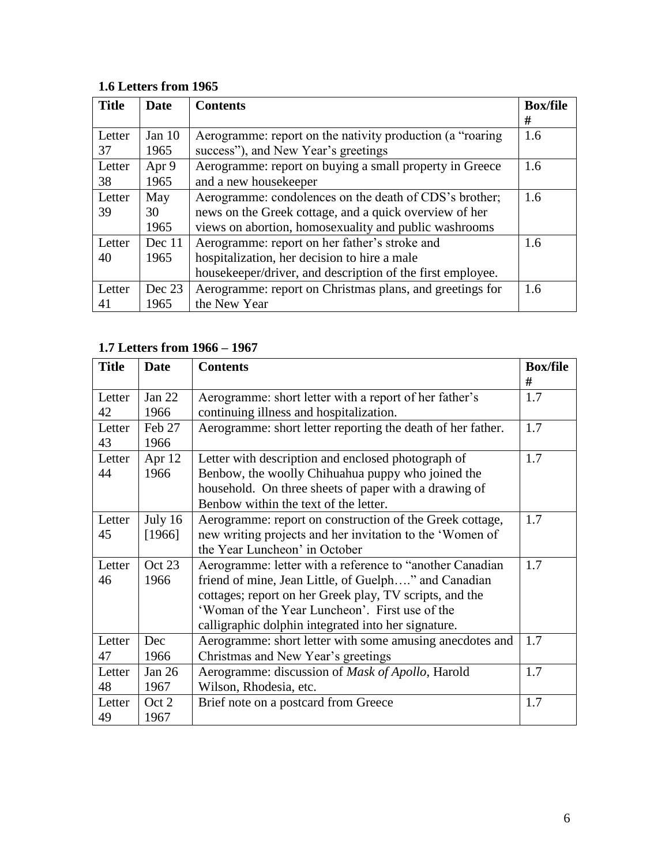## <span id="page-5-0"></span>**1.6 Letters from 1965**

| <b>Title</b> | <b>Date</b> | <b>Contents</b>                                            | <b>Box/file</b> |
|--------------|-------------|------------------------------------------------------------|-----------------|
|              |             |                                                            | #               |
| Letter       | Jan $10$    | Aerogramme: report on the nativity production (a "roaring" | 1.6             |
| 37           | 1965        | success"), and New Year's greetings                        |                 |
| Letter       | Apr 9       | Aerogramme: report on buying a small property in Greece    | 1.6             |
| 38           | 1965        | and a new housekeeper                                      |                 |
| Letter       | May         | Aerogramme: condolences on the death of CDS's brother;     | 1.6             |
| 39           | 30          | news on the Greek cottage, and a quick overview of her     |                 |
|              | 1965        | views on abortion, homosexuality and public washrooms      |                 |
| Letter       | Dec 11      | Aerogramme: report on her father's stroke and              | 1.6             |
| 40           | 1965        | hospitalization, her decision to hire a male               |                 |
|              |             | housekeeper/driver, and description of the first employee. |                 |
| Letter       | Dec 23      | Aerogramme: report on Christmas plans, and greetings for   | 1.6             |
| 41           | 1965        | the New Year                                               |                 |

# <span id="page-5-1"></span>**1.7 Letters from 1966 – 1967**

| <b>Title</b> | Date      | <b>Contents</b>                                             | <b>Box/file</b> |
|--------------|-----------|-------------------------------------------------------------|-----------------|
|              |           |                                                             | #               |
| Letter       | Jan 22    | Aerogramme: short letter with a report of her father's      | 1.7             |
| 42           | 1966      | continuing illness and hospitalization.                     |                 |
| Letter       | Feb 27    | Aerogramme: short letter reporting the death of her father. | 1.7             |
| 43           | 1966      |                                                             |                 |
| Letter       | Apr 12    | Letter with description and enclosed photograph of          | 1.7             |
| 44           | 1966      | Benbow, the woolly Chihuahua puppy who joined the           |                 |
|              |           | household. On three sheets of paper with a drawing of       |                 |
|              |           | Benbow within the text of the letter.                       |                 |
| Letter       | July $16$ | Aerogramme: report on construction of the Greek cottage,    | 1.7             |
| 45           | [1966]    | new writing projects and her invitation to the 'Women of    |                 |
|              |           | the Year Luncheon' in October                               |                 |
| Letter       | Oct 23    | Aerogramme: letter with a reference to "another Canadian"   | 1.7             |
| 46           | 1966      | friend of mine, Jean Little, of Guelph" and Canadian        |                 |
|              |           | cottages; report on her Greek play, TV scripts, and the     |                 |
|              |           | 'Woman of the Year Luncheon'. First use of the              |                 |
|              |           | calligraphic dolphin integrated into her signature.         |                 |
| Letter       | Dec       | Aerogramme: short letter with some amusing anecdotes and    | 1.7             |
| 47           | 1966      | Christmas and New Year's greetings                          |                 |
| Letter       | Jan 26    | Aerogramme: discussion of Mask of Apollo, Harold            | 1.7             |
| 48           | 1967      | Wilson, Rhodesia, etc.                                      |                 |
| Letter       | Oct 2     | Brief note on a postcard from Greece                        | 1.7             |
| 49           | 1967      |                                                             |                 |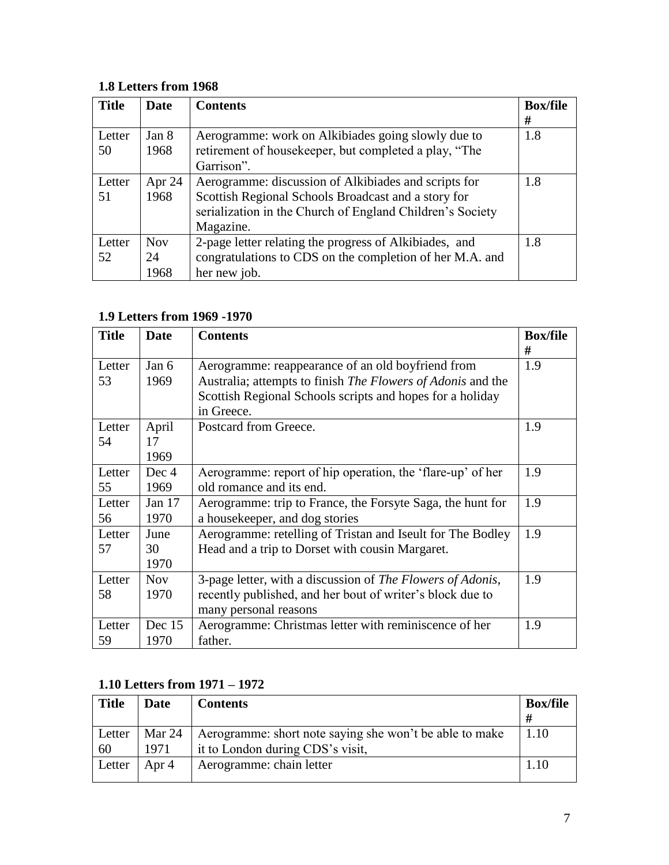## <span id="page-6-0"></span>**1.8 Letters from 1968**

| <b>Title</b> | Date       | <b>Contents</b>                                           | <b>Box/file</b> |
|--------------|------------|-----------------------------------------------------------|-----------------|
|              |            |                                                           | #               |
| Letter       | Jan 8      | Aerogramme: work on Alkibiades going slowly due to        | 1.8             |
| 50           | 1968       | retirement of housekeeper, but completed a play, "The     |                 |
|              |            | Garrison".                                                |                 |
| Letter       | Apr $24$   | Aerogramme: discussion of Alkibiades and scripts for      | 1.8             |
| 51           | 1968       | Scottish Regional Schools Broadcast and a story for       |                 |
|              |            | serialization in the Church of England Children's Society |                 |
|              |            | Magazine.                                                 |                 |
| Letter       | <b>Nov</b> | 2-page letter relating the progress of Alkibiades, and    | 1.8             |
| 52           | 24         | congratulations to CDS on the completion of her M.A. and  |                 |
|              | 1968       | her new job.                                              |                 |

## <span id="page-6-1"></span>**1.9 Letters from 1969 -1970**

| <b>Title</b> | <b>Date</b> | <b>Contents</b>                                                    | <b>Box/file</b> |
|--------------|-------------|--------------------------------------------------------------------|-----------------|
|              |             |                                                                    | #               |
| Letter       | Jan 6       | Aerogramme: reappearance of an old boyfriend from                  | 1.9             |
| 53           | 1969        | Australia; attempts to finish <i>The Flowers of Adonis</i> and the |                 |
|              |             | Scottish Regional Schools scripts and hopes for a holiday          |                 |
|              |             | in Greece.                                                         |                 |
| Letter       | April       | Postcard from Greece.                                              | 1.9             |
| 54           | 17          |                                                                    |                 |
|              | 1969        |                                                                    |                 |
| Letter       | Dec 4       | Aerogramme: report of hip operation, the 'flare-up' of her         | 1.9             |
| 55           | 1969        | old romance and its end.                                           |                 |
| Letter       | Jan $17$    | Aerogramme: trip to France, the Forsyte Saga, the hunt for         | 1.9             |
| 56           | 1970        | a housekeeper, and dog stories                                     |                 |
| Letter       | June        | Aerogramme: retelling of Tristan and Iseult for The Bodley         | 1.9             |
| 57           | 30          | Head and a trip to Dorset with cousin Margaret.                    |                 |
|              | 1970        |                                                                    |                 |
| Letter       | <b>Nov</b>  | 3-page letter, with a discussion of The Flowers of Adonis,         | 1.9             |
| 58           | 1970        | recently published, and her bout of writer's block due to          |                 |
|              |             | many personal reasons                                              |                 |
| Letter       | Dec $15$    | Aerogramme: Christmas letter with reminiscence of her              | 1.9             |
| 59           | 1970        | father.                                                            |                 |

# <span id="page-6-2"></span>**1.10 Letters from 1971 – 1972**

| <b>Title</b> | Date   | <b>Contents</b>                                         | <b>Box/file</b> |
|--------------|--------|---------------------------------------------------------|-----------------|
|              |        |                                                         | #               |
| Letter       | Mar 24 | Aerogramme: short note saying she won't be able to make | 1.10            |
| 60           | 1971   | it to London during CDS's visit,                        |                 |
| Letter       | Apr 4  | Aerogramme: chain letter                                |                 |
|              |        |                                                         |                 |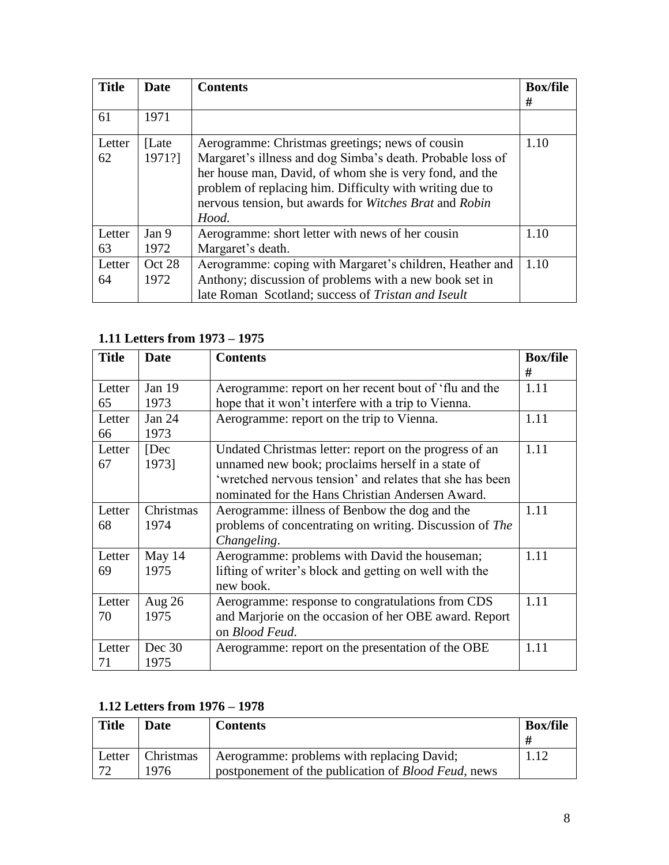| <b>Title</b> | <b>Date</b>      | <b>Contents</b>                                                                                                                                                                                                                                                                                         | <b>Box/file</b><br># |
|--------------|------------------|---------------------------------------------------------------------------------------------------------------------------------------------------------------------------------------------------------------------------------------------------------------------------------------------------------|----------------------|
| 61           | 1971             |                                                                                                                                                                                                                                                                                                         |                      |
| Letter<br>62 | [Late]<br>1971?] | Aerogramme: Christmas greetings; news of cousin<br>Margaret's illness and dog Simba's death. Probable loss of<br>her house man, David, of whom she is very fond, and the<br>problem of replacing him. Difficulty with writing due to<br>nervous tension, but awards for Witches Brat and Robin<br>Hood. | 1.10                 |
| Letter<br>63 | Jan 9<br>1972    | Aerogramme: short letter with news of her cousin<br>Margaret's death.                                                                                                                                                                                                                                   | 1.10                 |
| Letter<br>64 | Oct 28<br>1972   | Aerogramme: coping with Margaret's children, Heather and<br>Anthony; discussion of problems with a new book set in<br>late Roman Scotland; success of Tristan and Iseult                                                                                                                                | 1.10                 |

## <span id="page-7-0"></span>**1.11 Letters from 1973 – 1975**

| <b>Title</b> | Date      | <b>Contents</b>                                          | <b>Box/file</b> |
|--------------|-----------|----------------------------------------------------------|-----------------|
|              |           |                                                          | #               |
| Letter       | Jan 19    | Aerogramme: report on her recent bout of 'flu and the    | 1.11            |
| 65           | 1973      | hope that it won't interfere with a trip to Vienna.      |                 |
| Letter       | Jan $24$  | Aerogramme: report on the trip to Vienna.                | 1.11            |
| 66           | 1973      |                                                          |                 |
| Letter       | [Dec]     | Undated Christmas letter: report on the progress of an   | 1.11            |
| 67           | 1973]     | unnamed new book; proclaims herself in a state of        |                 |
|              |           | 'wretched nervous tension' and relates that she has been |                 |
|              |           | nominated for the Hans Christian Andersen Award.         |                 |
| Letter       | Christmas | Aerogramme: illness of Benbow the dog and the            | 1.11            |
| 68           | 1974      | problems of concentrating on writing. Discussion of The  |                 |
|              |           | Changeling.                                              |                 |
| Letter       | May 14    | Aerogramme: problems with David the houseman;            | 1.11            |
| 69           | 1975      | lifting of writer's block and getting on well with the   |                 |
|              |           | new book.                                                |                 |
| Letter       | Aug $26$  | Aerogramme: response to congratulations from CDS         | 1.11            |
| 70           | 1975      | and Marjorie on the occasion of her OBE award. Report    |                 |
|              |           | on Blood Feud.                                           |                 |
| Letter       | Dec 30    | Aerogramme: report on the presentation of the OBE        | 1.11            |
| 71           | 1975      |                                                          |                 |

## <span id="page-7-1"></span>**1.12 Letters from 1976 – 1978**

| <b>Title</b> | Date      | <b>Contents</b>                                             | <b>Box/file</b> |
|--------------|-----------|-------------------------------------------------------------|-----------------|
|              |           |                                                             | #               |
| Letter       | Christmas | Aerogramme: problems with replacing David;                  | 1.12            |
| 70           | 1976      | postponement of the publication of <i>Blood Feud</i> , news |                 |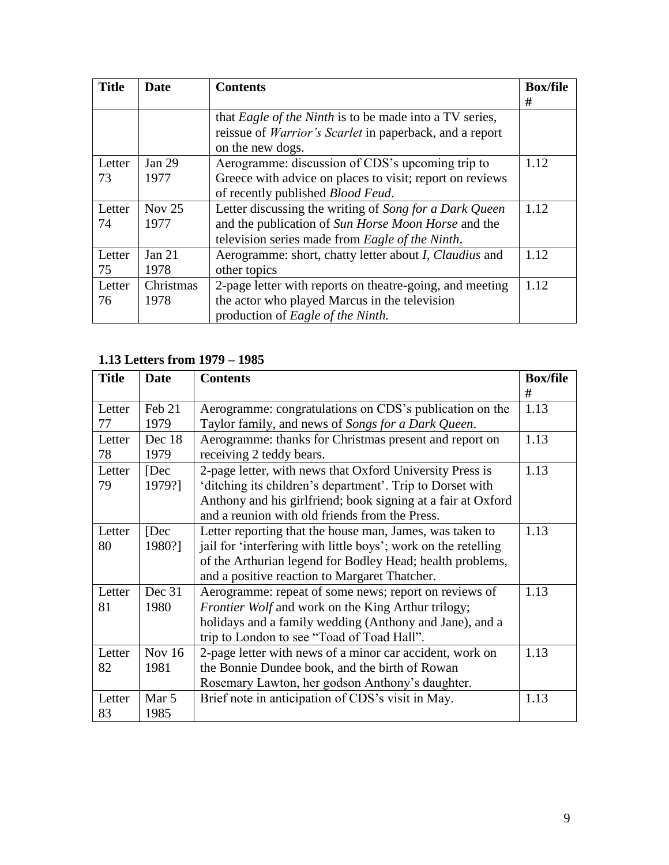| <b>Title</b> | Date      | <b>Contents</b>                                                       | <b>Box/file</b> |
|--------------|-----------|-----------------------------------------------------------------------|-----------------|
|              |           |                                                                       | #               |
|              |           | that <i>Eagle of the Ninth</i> is to be made into a TV series,        |                 |
|              |           | reissue of <i>Warrior's Scarlet</i> in paperback, and a report        |                 |
|              |           | on the new dogs.                                                      |                 |
| Letter       | Jan 29    | Aerogramme: discussion of CDS's upcoming trip to                      | 1.12            |
| 73           | 1977      | Greece with advice on places to visit; report on reviews              |                 |
|              |           | of recently published <i>Blood Feud</i> .                             |                 |
| Letter       | Nov $25$  | Letter discussing the writing of Song for a Dark Queen                | 1.12            |
| 74           | 1977      | and the publication of Sun Horse Moon Horse and the                   |                 |
|              |           | television series made from Eagle of the Ninth.                       |                 |
| Letter       | Jan $21$  | Aerogramme: short, chatty letter about <i>I</i> , <i>Claudius</i> and | 1.12            |
| 75           | 1978      | other topics                                                          |                 |
| Letter       | Christmas | 2-page letter with reports on theatre-going, and meeting              | 1.12            |
| 76           | 1978      | the actor who played Marcus in the television                         |                 |
|              |           | production of Eagle of the Ninth.                                     |                 |

# <span id="page-8-0"></span>**1.13 Letters from 1979 – 1985**

| <b>Title</b> | <b>Date</b> | <b>Contents</b>                                                | <b>Box/file</b> |
|--------------|-------------|----------------------------------------------------------------|-----------------|
|              |             |                                                                | #               |
| Letter       | Feb 21      | Aerogramme: congratulations on CDS's publication on the        | 1.13            |
| 77           | 1979        | Taylor family, and news of Songs for a Dark Queen.             |                 |
| Letter       | Dec 18      | Aerogramme: thanks for Christmas present and report on         | 1.13            |
| 78           | 1979        | receiving 2 teddy bears.                                       |                 |
| Letter       | [Dec]       | 2-page letter, with news that Oxford University Press is       | 1.13            |
| 79           | 1979?]      | 'ditching its children's department'. Trip to Dorset with      |                 |
|              |             | Anthony and his girlfriend; book signing at a fair at Oxford   |                 |
|              |             | and a reunion with old friends from the Press.                 |                 |
| Letter       | [Dec]       | Letter reporting that the house man, James, was taken to       | 1.13            |
| 80           | 1980?]      | jail for 'interfering with little boys'; work on the retelling |                 |
|              |             | of the Arthurian legend for Bodley Head; health problems,      |                 |
|              |             | and a positive reaction to Margaret Thatcher.                  |                 |
| Letter       | Dec 31      | Aerogramme: repeat of some news; report on reviews of          | 1.13            |
| 81           | 1980        | <i>Frontier Wolf</i> and work on the King Arthur trilogy;      |                 |
|              |             | holidays and a family wedding (Anthony and Jane), and a        |                 |
|              |             | trip to London to see "Toad of Toad Hall".                     |                 |
| Letter       | Nov $16$    | 2-page letter with news of a minor car accident, work on       | 1.13            |
| 82           | 1981        | the Bonnie Dundee book, and the birth of Rowan                 |                 |
|              |             | Rosemary Lawton, her godson Anthony's daughter.                |                 |
| Letter       | Mar 5       | Brief note in anticipation of CDS's visit in May.              | 1.13            |
| 83           | 1985        |                                                                |                 |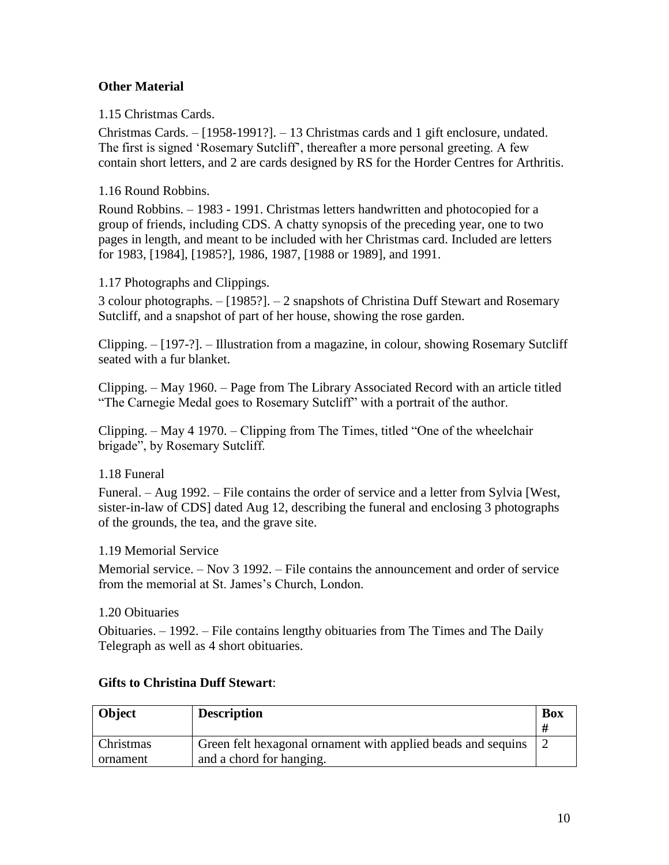### <span id="page-9-0"></span>**Other Material**

<span id="page-9-1"></span>1.15 Christmas Cards.

Christmas Cards. – [1958-1991?]. – 13 Christmas cards and 1 gift enclosure, undated. The first is signed 'Rosemary Sutcliff', thereafter a more personal greeting. A few contain short letters, and 2 are cards designed by RS for the Horder Centres for Arthritis.

<span id="page-9-2"></span>1.16 Round Robbins.

Round Robbins. – 1983 - 1991. Christmas letters handwritten and photocopied for a group of friends, including CDS. A chatty synopsis of the preceding year, one to two pages in length, and meant to be included with her Christmas card. Included are letters for 1983, [1984], [1985?], 1986, 1987, [1988 or 1989], and 1991.

#### <span id="page-9-3"></span>1.17 Photographs and Clippings.

3 colour photographs. – [1985?]. – 2 snapshots of Christina Duff Stewart and Rosemary Sutcliff, and a snapshot of part of her house, showing the rose garden.

Clipping. – [197-?]. – Illustration from a magazine, in colour, showing Rosemary Sutcliff seated with a fur blanket.

Clipping. – May 1960. – Page from The Library Associated Record with an article titled "The Carnegie Medal goes to Rosemary Sutcliff" with a portrait of the author.

Clipping. – May 4 1970. – Clipping from The Times, titled "One of the wheelchair brigade", by Rosemary Sutcliff.

### <span id="page-9-4"></span>1.18 Funeral

Funeral. – Aug 1992. – File contains the order of service and a letter from Sylvia [West, sister-in-law of CDS] dated Aug 12, describing the funeral and enclosing 3 photographs of the grounds, the tea, and the grave site.

### <span id="page-9-5"></span>1.19 Memorial Service

Memorial service. – Nov 3 1992. – File contains the announcement and order of service from the memorial at St. James's Church, London.

<span id="page-9-6"></span>1.20 Obituaries

Obituaries. – 1992. – File contains lengthy obituaries from The Times and The Daily Telegraph as well as 4 short obituaries.

| <b>Object</b> | <b>Description</b>                                           | <b>Box</b> |
|---------------|--------------------------------------------------------------|------------|
|               |                                                              |            |
| Christmas     | Green felt hexagonal ornament with applied beads and sequins |            |
| ornament      | and a chord for hanging.                                     |            |

### <span id="page-9-7"></span>**Gifts to Christina Duff Stewart**: